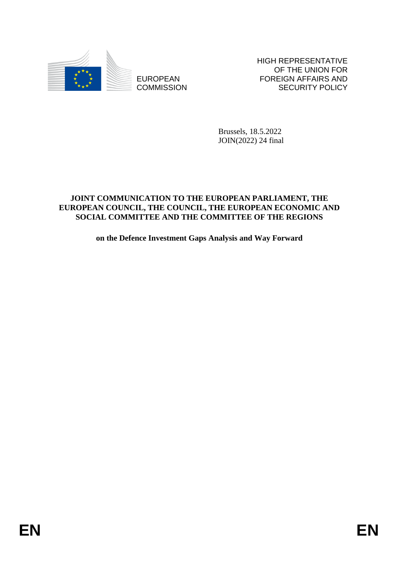

**COMMISSION** 

HIGH REPRESENTATIVE OF THE UNION FOR FOREIGN AFFAIRS AND SECURITY POLICY

Brussels, 18.5.2022 JOIN(2022) 24 final

# ENTRIES AND FOREIGN FOREIGN FRANK AND COMMISSION FOREIGN AFFAIRS AND COMMISSION BROWSER IS 5.2022<br> **ENTRIES COMMISSION** BROWSER CONDITION TO THE EXPRESS AND INCREASE ON THE CONDITIONAL POWER AND THE CONDITION OF THE REGION **JOINT COMMUNICATION TO THE EUROPEAN PARLIAMENT, THE EUROPEAN COUNCIL, THE COUNCIL, THE EUROPEAN ECONOMIC AND SOCIAL COMMITTEE AND THE COMMITTEE OF THE REGIONS**

# **on the Defence Investment Gaps Analysis and Way Forward**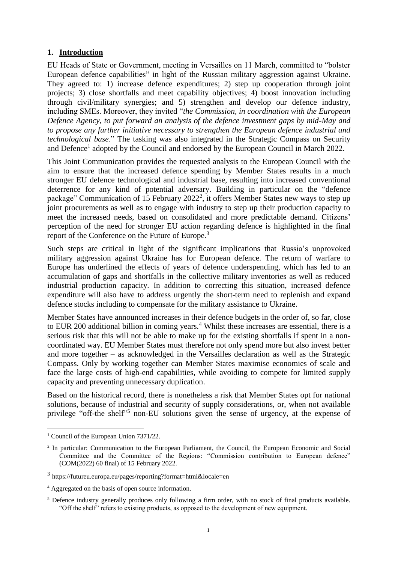### **1. Introduction**

EU Heads of State or Government, meeting in Versailles on 11 March, committed to "bolster European defence capabilities" in light of the Russian military aggression against Ukraine. They agreed to: 1) increase defence expenditures; 2) step up cooperation through joint projects; 3) close shortfalls and meet capability objectives; 4) boost innovation including through civil/military synergies; and 5) strengthen and develop our defence industry, including SMEs. Moreover, they invited "*the Commission, in coordination with the European Defence Agency, to put forward an analysis of the defence investment gaps by mid-May and to propose any further initiative necessary to strengthen the European defence industrial and technological base*." The tasking was also integrated in the Strategic Compass on Security and Defence<sup>1</sup> adopted by the Council and endorsed by the European Council in March 2022.

This Joint Communication provides the requested analysis to the European Council with the aim to ensure that the increased defence spending by Member States results in a much stronger EU defence technological and industrial base, resulting into increased conventional deterrence for any kind of potential adversary. Building in particular on the "defence package" Communication of 15 February 2022<sup>2</sup>, it offers Member States new ways to step up joint procurements as well as to engage with industry to step up their production capacity to meet the increased needs, based on consolidated and more predictable demand. Citizens' perception of the need for stronger EU action regarding defence is highlighted in the final report of the Conference on the Future of Europe.<sup>3</sup>

Such steps are critical in light of the significant implications that Russia's unprovoked military aggression against Ukraine has for European defence. The return of warfare to Europe has underlined the effects of years of defence underspending, which has led to an accumulation of gaps and shortfalls in the collective military inventories as well as reduced industrial production capacity. In addition to correcting this situation, increased defence expenditure will also have to address urgently the short-term need to replenish and expand defence stocks including to compensate for the military assistance to Ukraine.

Member States have announced increases in their defence budgets in the order of, so far, close to EUR 200 additional billion in coming years.<sup>4</sup> Whilst these increases are essential, there is a serious risk that this will not be able to make up for the existing shortfalls if spent in a noncoordinated way. EU Member States must therefore not only spend more but also invest better and more together – as acknowledged in the Versailles declaration as well as the Strategic Compass. Only by working together can Member States maximise economies of scale and face the large costs of high-end capabilities, while avoiding to compete for limited supply capacity and preventing unnecessary duplication.

Based on the historical record, there is nonetheless a risk that Member States opt for national solutions, because of industrial and security of supply considerations, or, when not available privilege "off-the shelf"<sup>5</sup> non-EU solutions given the sense of urgency, at the expense of

1

<sup>&</sup>lt;sup>1</sup> Council of the European Union 7371/22.

<sup>&</sup>lt;sup>2</sup> In particular: Communication to the European Parliament, the Council, the European Economic and Social Committee and the Committee of the Regions: "Commission contribution to European defence" (COM(2022) 60 final) of 15 February 2022.

<sup>3</sup> <https://futureu.europa.eu/pages/reporting?format=html&locale=en>

<sup>4</sup> Aggregated on the basis of open source information.

<sup>&</sup>lt;sup>5</sup> Defence industry generally produces only following a firm order, with no stock of final products available. "Off the shelf" refers to existing products, as opposed to the development of new equipment.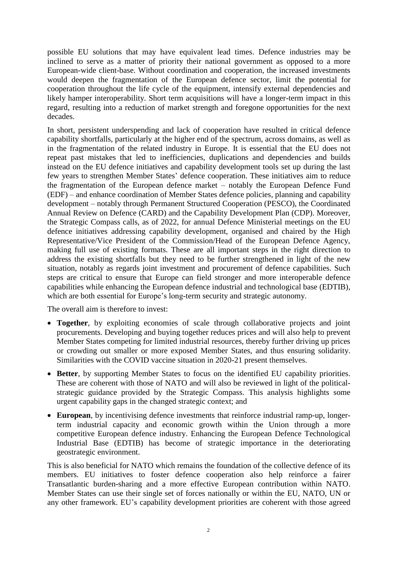possible EU solutions that may have equivalent lead times. Defence industries may be inclined to serve as a matter of priority their national government as opposed to a more European-wide client-base. Without coordination and cooperation, the increased investments would deepen the fragmentation of the European defence sector, limit the potential for cooperation throughout the life cycle of the equipment, intensify external dependencies and likely hamper interoperability. Short term acquisitions will have a longer-term impact in this regard, resulting into a reduction of market strength and foregone opportunities for the next decades.

In short, persistent underspending and lack of cooperation have resulted in critical defence capability shortfalls, particularly at the higher end of the spectrum, across domains, as well as in the fragmentation of the related industry in Europe. It is essential that the EU does not repeat past mistakes that led to inefficiencies, duplications and dependencies and builds instead on the EU defence initiatives and capability development tools set up during the last few years to strengthen Member States' defence cooperation. These initiatives aim to reduce the fragmentation of the European defence market – notably the European Defence Fund (EDF) – and enhance coordination of Member States defence policies, planning and capability development – notably through Permanent Structured Cooperation (PESCO), the Coordinated Annual Review on Defence (CARD) and the Capability Development Plan (CDP). Moreover, the Strategic Compass calls, as of 2022, for annual Defence Ministerial meetings on the EU defence initiatives addressing capability development, organised and chaired by the High Representative/Vice President of the Commission/Head of the European Defence Agency, making full use of existing formats. These are all important steps in the right direction to address the existing shortfalls but they need to be further strengthened in light of the new situation, notably as regards joint investment and procurement of defence capabilities. Such steps are critical to ensure that Europe can field stronger and more interoperable defence capabilities while enhancing the European defence industrial and technological base (EDTIB), which are both essential for Europe's long-term security and strategic autonomy.

The overall aim is therefore to invest:

- **Together**, by exploiting economies of scale through collaborative projects and joint procurements. Developing and buying together reduces prices and will also help to prevent Member States competing for limited industrial resources, thereby further driving up prices or crowding out smaller or more exposed Member States, and thus ensuring solidarity. Similarities with the COVID vaccine situation in 2020-21 present themselves.
- **Better**, by supporting Member States to focus on the identified EU capability priorities. These are coherent with those of NATO and will also be reviewed in light of the politicalstrategic guidance provided by the Strategic Compass. This analysis highlights some urgent capability gaps in the changed strategic context; and
- **European**, by incentivising defence investments that reinforce industrial ramp-up, longerterm industrial capacity and economic growth within the Union through a more competitive European defence industry. Enhancing the European Defence Technological Industrial Base (EDTIB) has become of strategic importance in the deteriorating geostrategic environment.

This is also beneficial for NATO which remains the foundation of the collective defence of its members. EU initiatives to foster defence cooperation also help reinforce a fairer Transatlantic burden-sharing and a more effective European contribution within NATO. Member States can use their single set of forces nationally or within the EU, NATO, UN or any other framework. EU's capability development priorities are coherent with those agreed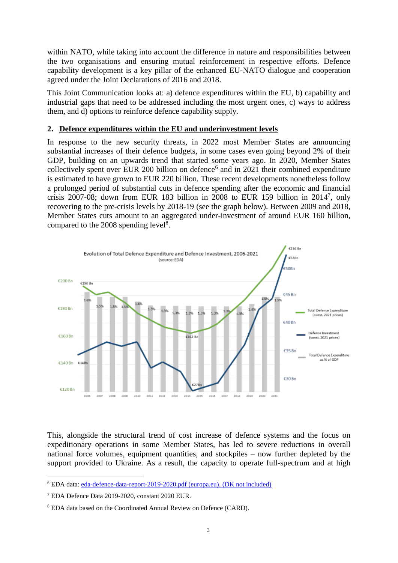within NATO, while taking into account the difference in nature and responsibilities between the two organisations and ensuring mutual reinforcement in respective efforts. Defence capability development is a key pillar of the enhanced EU-NATO dialogue and cooperation agreed under the Joint Declarations of 2016 and 2018.

This Joint Communication looks at: a) defence expenditures within the EU, b) capability and industrial gaps that need to be addressed including the most urgent ones, c) ways to address them, and d) options to reinforce defence capability supply.

### **2. Defence expenditures within the EU and underinvestment levels**

In response to the new security threats, in 2022 most Member States are announcing substantial increases of their defence budgets, in some cases even going beyond 2% of their GDP, building on an upwards trend that started some years ago. In 2020, Member States collectively spent over EUR 200 billion on defence<sup>6</sup> and in 2021 their combined expenditure is estimated to have grown to EUR 220 billion. These recent developments nonetheless follow a prolonged period of substantial cuts in defence spending after the economic and financial crisis 2007-08; down from EUR 183 billion in 2008 to EUR 159 billion in  $2014^7$ , only recovering to the pre-crisis levels by 2018-19 (see the graph below). Between 2009 and 2018, Member States cuts amount to an aggregated under-investment of around EUR 160 billion, compared to the  $2008$  spending level<sup>8</sup>.



This, alongside the structural trend of cost increase of defence systems and the focus on expeditionary operations in some Member States, has led to severe reductions in overall national force volumes, equipment quantities, and stockpiles – now further depleted by the support provided to Ukraine. As a result, the capacity to operate full-spectrum and at high

1

<sup>6</sup> EDA data: [eda-defence-data-report-2019-2020.pdf \(europa.eu\).](https://eda.europa.eu/docs/default-source/brochures/eda---defence-data-report-2019-2020.pdf) (DK not included)

<sup>7</sup> EDA Defence Data 2019-2020, constant 2020 EUR.

<sup>8</sup> EDA data based on the Coordinated Annual Review on Defence (CARD).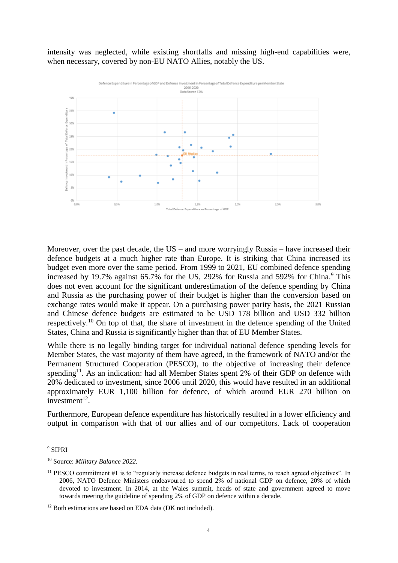intensity was neglected, while existing shortfalls and missing high-end capabilities were, when necessary, covered by non-EU NATO Allies, notably the US.



Moreover, over the past decade, the US – and more worryingly Russia – have increased their defence budgets at a much higher rate than Europe. It is striking that China increased its budget even more over the same period. From 1999 to 2021, EU combined defence spending increased by 19.7% against 65.7% for the US, 292% for Russia and 592% for China.<sup>9</sup> This does not even account for the significant underestimation of the defence spending by China and Russia as the purchasing power of their budget is higher than the conversion based on exchange rates would make it appear. On a purchasing power parity basis, the 2021 Russian and Chinese defence budgets are estimated to be USD 178 billion and USD 332 billion respectively.<sup>10</sup> On top of that, the share of investment in the defence spending of the United States, China and Russia is significantly higher than that of EU Member States.

While there is no legally binding target for individual national defence spending levels for Member States, the vast majority of them have agreed, in the framework of NATO and/or the Permanent Structured Cooperation (PESCO), to the objective of increasing their defence spending<sup>11</sup>. As an indication: had all Member States spent 2% of their GDP on defence with 20% dedicated to investment, since 2006 until 2020, this would have resulted in an additional approximately EUR 1,100 billion for defence, of which around EUR 270 billion on  $investment<sup>12</sup>$ .

Furthermore, European defence expenditure has historically resulted in a lower efficiency and output in comparison with that of our allies and of our competitors. Lack of cooperation

<u>.</u>

<sup>&</sup>lt;sup>9</sup> SIPRI

<sup>10</sup> Source: *Military Balance 2022.*

<sup>&</sup>lt;sup>11</sup> PESCO commitment #1 is to "regularly increase defence budgets in real terms, to reach agreed objectives". In 2006, NATO Defence Ministers endeavoured to spend 2% of national GDP on defence, 20% of which devoted to investment. In 2014, at the Wales summit, heads of state and government agreed to move towards meeting the guideline of spending 2% of GDP on defence within a decade.

<sup>&</sup>lt;sup>12</sup> Both estimations are based on EDA data (DK not included).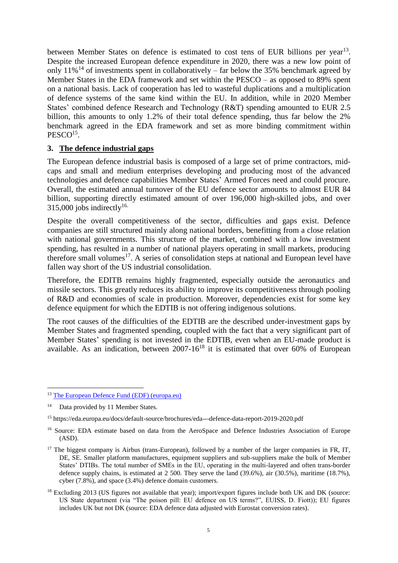between Member States on defence is estimated to cost tens of EUR billions per year<sup>13</sup>. Despite the increased European defence expenditure in 2020, there was a new low point of only  $11\%$ <sup>14</sup> of investments spent in collaboratively – far below the 35% benchmark agreed by Member States in the EDA framework and set within the PESCO – as opposed to 89% spent on a national basis. Lack of cooperation has led to wasteful duplications and a multiplication of defence systems of the same kind within the EU. In addition, while in 2020 Member States' combined defence Research and Technology (R&T) spending amounted to EUR 2.5 billion, this amounts to only 1.2% of their total defence spending, thus far below the 2% benchmark agreed in the EDA framework and set as more binding commitment within PESCO<sup>15</sup>.

# **3. The defence industrial gaps**

The European defence industrial basis is composed of a large set of prime contractors, midcaps and small and medium enterprises developing and producing most of the advanced technologies and defence capabilities Member States' Armed Forces need and could procure. Overall, the estimated annual turnover of the EU defence sector amounts to almost EUR 84 billion, supporting directly estimated amount of over 196,000 high-skilled jobs, and over  $315,000$  jobs indirectly<sup>16.</sup>

Despite the overall competitiveness of the sector, difficulties and gaps exist. Defence companies are still structured mainly along national borders, benefitting from a close relation with national governments. This structure of the market, combined with a low investment spending, has resulted in a number of national players operating in small markets, producing therefore small volumes<sup>17</sup>. A series of consolidation steps at national and European level have fallen way short of the US industrial consolidation.

Therefore, the EDITB remains highly fragmented, especially outside the aeronautics and missile sectors. This greatly reduces its ability to improve its competitiveness through pooling of R&D and economies of scale in production. Moreover, dependencies exist for some key defence equipment for which the EDTIB is not offering indigenous solutions.

The root causes of the difficulties of the EDTIB are the described under-investment gaps by Member States and fragmented spending, coupled with the fact that a very significant part of Member States' spending is not invested in the EDTIB, even when an EU-made product is available. As an indication, between  $2007-16^{18}$  it is estimated that over 60% of European

<sup>&</sup>lt;u>.</u> <sup>13</sup> [The European Defence Fund \(EDF\) \(europa.eu\)](https://ec.europa.eu/defence-industry-space/european-defence-fund-edf_en)

<sup>&</sup>lt;sup>14</sup> Data provided by 11 Member States.

<sup>15</sup> https://eda.europa.eu/docs/default-source/brochures/eda---defence-data-report-2019-2020.pdf

<sup>&</sup>lt;sup>16</sup> Source: EDA estimate based on data from the AeroSpace and Defence Industries Association of Europe (ASD).

 $17$  The biggest company is Airbus (trans-European), followed by a number of the larger companies in FR, IT, DE, SE. Smaller platform manufactures, equipment suppliers and sub-suppliers make the bulk of Member States' DTIBs. The total number of SMEs in the EU, operating in the multi-layered and often trans-border defence supply chains, is estimated at 2 500. They serve the land (39.6%), air (30.5%), maritime (18.7%), cyber (7.8%), and space (3.4%) defence domain customers.

<sup>&</sup>lt;sup>18</sup> Excluding 2013 (US figures not available that year); import/export figures include both UK and DK (source: US State department (via "The poison pill: EU defence on US terms?", EUISS, D. Fiott)); EU figures includes UK but not DK (source: EDA defence data adjusted with Eurostat conversion rates).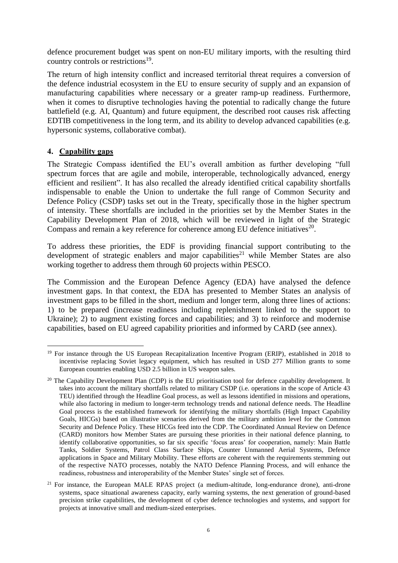defence procurement budget was spent on non-EU military imports, with the resulting third country controls or restrictions<sup>19</sup>.

The return of high intensity conflict and increased territorial threat requires a conversion of the defence industrial ecosystem in the EU to ensure security of supply and an expansion of manufacturing capabilities where necessary or a greater ramp-up readiness. Furthermore, when it comes to disruptive technologies having the potential to radically change the future battlefield (e.g. AI, Quantum) and future equipment, the described root causes risk affecting EDTIB competitiveness in the long term, and its ability to develop advanced capabilities (e.g. hypersonic systems, collaborative combat).

# **4. Capability gaps**

The Strategic Compass identified the EU's overall ambition as further developing "full spectrum forces that are agile and mobile, interoperable, technologically advanced, energy efficient and resilient". It has also recalled the already identified critical capability shortfalls indispensable to enable the Union to undertake the full range of Common Security and Defence Policy (CSDP) tasks set out in the Treaty, specifically those in the higher spectrum of intensity. These shortfalls are included in the priorities set by the Member States in the Capability Development Plan of 2018, which will be reviewed in light of the Strategic Compass and remain a key reference for coherence among EU defence initiatives $^{20}$ .

To address these priorities, the EDF is providing financial support contributing to the development of strategic enablers and major capabilities<sup>21</sup> while Member States are also working together to address them through 60 projects within PESCO.

The Commission and the European Defence Agency (EDA) have analysed the defence investment gaps. In that context, the EDA has presented to Member States an analysis of investment gaps to be filled in the short, medium and longer term, along three lines of actions: 1) to be prepared (increase readiness including replenishment linked to the support to Ukraine); 2) to augment existing forces and capabilities; and 3) to reinforce and modernise capabilities, based on EU agreed capability priorities and informed by CARD (see annex).

<sup>&</sup>lt;u>.</u> <sup>19</sup> For instance through the US European Recapitalization Incentive Program (ERIP), established in 2018 to incentivise replacing Soviet legacy equipment, which has resulted in USD 277 Million grants to some European countries enabling USD 2.5 billion in US weapon sales.

<sup>&</sup>lt;sup>20</sup> The Capability Development Plan (CDP) is the EU prioritisation tool for defence capability development. It takes into account the military shortfalls related to military CSDP (i.e. operations in the scope of Article 43 TEU) identified through the Headline Goal process, as well as lessons identified in missions and operations, while also factoring in medium to longer-term technology trends and national defence needs. The Headline Goal process is the established framework for identifying the military shortfalls (High Impact Capability Goals, HICGs) based on illustrative scenarios derived from the military ambition level for the Common Security and Defence Policy. These HICGs feed into the CDP. The Coordinated Annual Review on Defence (CARD) monitors how Member States are pursuing these priorities in their national defence planning, to identify collaborative opportunities, so far six specific 'focus areas' for cooperation, namely: Main Battle Tanks, Soldier Systems, Patrol Class Surface Ships, Counter Unmanned Aerial Systems, Defence applications in Space and Military Mobility. These efforts are coherent with the requirements stemming out of the respective NATO processes, notably the NATO Defence Planning Process, and will enhance the readiness, robustness and interoperability of the Member States' single set of forces.

 $21$  For instance, the European MALE RPAS project (a medium-altitude, long-endurance drone), anti-drone systems, space situational awareness capacity, early warning systems, the next generation of ground-based precision strike capabilities, the development of cyber defence technologies and systems, and support for projects at innovative small and medium-sized enterprises.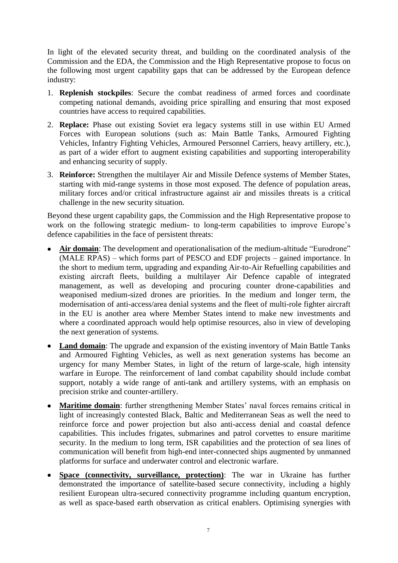In light of the elevated security threat, and building on the coordinated analysis of the Commission and the EDA, the Commission and the High Representative propose to focus on the following most urgent capability gaps that can be addressed by the European defence industry:

- 1. **Replenish stockpiles**: Secure the combat readiness of armed forces and coordinate competing national demands, avoiding price spiralling and ensuring that most exposed countries have access to required capabilities.
- 2. **Replace:** Phase out existing Soviet era legacy systems still in use within EU Armed Forces with European solutions (such as: Main Battle Tanks, Armoured Fighting Vehicles, Infantry Fighting Vehicles, Armoured Personnel Carriers, heavy artillery, etc.), as part of a wider effort to augment existing capabilities and supporting interoperability and enhancing security of supply.
- 3. **Reinforce:** Strengthen the multilayer Air and Missile Defence systems of Member States, starting with mid-range systems in those most exposed. The defence of population areas, military forces and/or critical infrastructure against air and missiles threats is a critical challenge in the new security situation.

Beyond these urgent capability gaps, the Commission and the High Representative propose to work on the following strategic medium- to long-term capabilities to improve Europe's defence capabilities in the face of persistent threats:

- Air **domain**: The development and operationalisation of the medium-altitude "Eurodrone" (MALE RPAS) – which forms part of PESCO and EDF projects – gained importance. In the short to medium term, upgrading and expanding Air-to-Air Refuelling capabilities and existing aircraft fleets, building a multilayer Air Defence capable of integrated management, as well as developing and procuring counter drone-capabilities and weaponised medium-sized drones are priorities. In the medium and longer term, the modernisation of anti-access/area denial systems and the fleet of multi-role fighter aircraft in the EU is another area where Member States intend to make new investments and where a coordinated approach would help optimise resources, also in view of developing the next generation of systems.
- **Land domain**: The upgrade and expansion of the existing inventory of Main Battle Tanks and Armoured Fighting Vehicles, as well as next generation systems has become an urgency for many Member States, in light of the return of large-scale, high intensity warfare in Europe. The reinforcement of land combat capability should include combat support, notably a wide range of anti-tank and artillery systems, with an emphasis on precision strike and counter-artillery.
- **Maritime domain**: further strengthening Member States' naval forces remains critical in light of increasingly contested Black, Baltic and Mediterranean Seas as well the need to reinforce force and power projection but also anti-access denial and coastal defence capabilities. This includes frigates, submarines and patrol corvettes to ensure maritime security. In the medium to long term, ISR capabilities and the protection of sea lines of communication will benefit from high-end inter-connected ships augmented by unmanned platforms for surface and underwater control and electronic warfare.
- **Space (connectivity, surveillance, protection)**: The war in Ukraine has further demonstrated the importance of satellite-based secure connectivity, including a highly resilient European ultra-secured connectivity programme including quantum encryption, as well as space-based earth observation as critical enablers. Optimising synergies with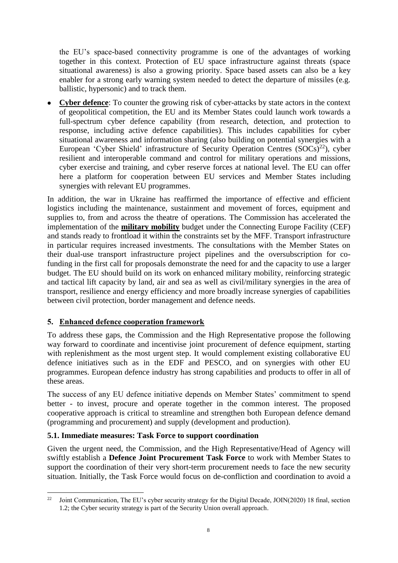the EU's space-based connectivity programme is one of the advantages of working together in this context. Protection of EU space infrastructure against threats (space situational awareness) is also a growing priority. Space based assets can also be a key enabler for a strong early warning system needed to detect the departure of missiles (e.g. ballistic, hypersonic) and to track them.

 **Cyber defence**: To counter the growing risk of cyber-attacks by state actors in the context of geopolitical competition, the EU and its Member States could launch work towards a full-spectrum cyber defence capability (from research, detection, and protection to response, including active defence capabilities). This includes capabilities for cyber situational awareness and information sharing (also building on potential synergies with a European 'Cyber Shield' infrastructure of Security Operation Centres  $(SOCs)^{22}$ ), cyber resilient and interoperable command and control for military operations and missions, cyber exercise and training, and cyber reserve forces at national level. The EU can offer here a platform for cooperation between EU services and Member States including synergies with relevant EU programmes.

In addition, the war in Ukraine has reaffirmed the importance of effective and efficient logistics including the maintenance, sustainment and movement of forces, equipment and supplies to, from and across the theatre of operations. The Commission has accelerated the implementation of the **military mobility** budget under the Connecting Europe Facility (CEF) and stands ready to frontload it within the constraints set by the MFF. Transport infrastructure in particular requires increased investments. The consultations with the Member States on their dual-use transport infrastructure project pipelines and the oversubscription for cofunding in the first call for proposals demonstrate the need for and the capacity to use a larger budget. The EU should build on its work on enhanced military mobility, reinforcing strategic and tactical lift capacity by land, air and sea as well as civil/military synergies in the area of transport, resilience and energy efficiency and more broadly increase synergies of capabilities between civil protection, border management and defence needs.

# **5. Enhanced defence cooperation framework**

To address these gaps, the Commission and the High Representative propose the following way forward to coordinate and incentivise joint procurement of defence equipment, starting with replenishment as the most urgent step. It would complement existing collaborative EU defence initiatives such as in the EDF and PESCO, and on synergies with other EU programmes. European defence industry has strong capabilities and products to offer in all of these areas.

The success of any EU defence initiative depends on Member States' commitment to spend better - to invest, procure and operate together in the common interest. The proposed cooperative approach is critical to streamline and strengthen both European defence demand (programming and procurement) and supply (development and production).

# **5.1. Immediate measures: Task Force to support coordination**

Given the urgent need, the Commission, and the High Representative/Head of Agency will swiftly establish a **Defence Joint Procurement Task Force** to work with Member States to support the coordination of their very short-term procurement needs to face the new security situation. Initially, the Task Force would focus on de-confliction and coordination to avoid a

 $22$ <sup>22</sup> Joint Communication, The EU's cyber security strategy for the Digital Decade, JOIN(2020) 18 final, section 1.2; the Cyber security strategy is part of the Security Union overall approach.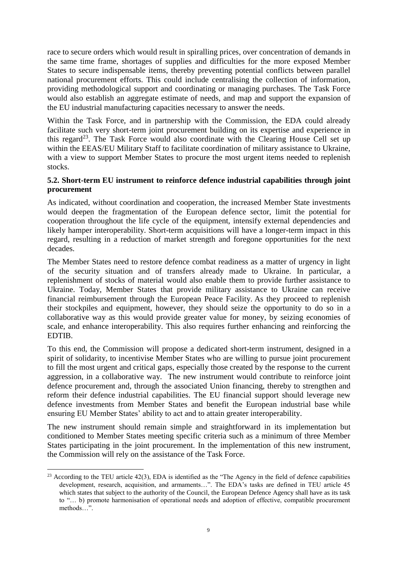race to secure orders which would result in spiralling prices, over concentration of demands in the same time frame, shortages of supplies and difficulties for the more exposed Member States to secure indispensable items, thereby preventing potential conflicts between parallel national procurement efforts. This could include centralising the collection of information, providing methodological support and coordinating or managing purchases. The Task Force would also establish an aggregate estimate of needs, and map and support the expansion of the EU industrial manufacturing capacities necessary to answer the needs.

Within the Task Force, and in partnership with the Commission, the EDA could already facilitate such very short-term joint procurement building on its expertise and experience in this regard<sup>23</sup>. The Task Force would also coordinate with the Clearing House Cell set up within the EEAS/EU Military Staff to facilitate coordination of military assistance to Ukraine, with a view to support Member States to procure the most urgent items needed to replenish stocks.

### **5.2. Short-term EU instrument to reinforce defence industrial capabilities through joint procurement**

As indicated, without coordination and cooperation, the increased Member State investments would deepen the fragmentation of the European defence sector, limit the potential for cooperation throughout the life cycle of the equipment, intensify external dependencies and likely hamper interoperability. Short-term acquisitions will have a longer-term impact in this regard, resulting in a reduction of market strength and foregone opportunities for the next decades.

The Member States need to restore defence combat readiness as a matter of urgency in light of the security situation and of transfers already made to Ukraine. In particular, a replenishment of stocks of material would also enable them to provide further assistance to Ukraine. Today, Member States that provide military assistance to Ukraine can receive financial reimbursement through the European Peace Facility. As they proceed to replenish their stockpiles and equipment, however, they should seize the opportunity to do so in a collaborative way as this would provide greater value for money, by seizing economies of scale, and enhance interoperability. This also requires further enhancing and reinforcing the EDTIB.

To this end, the Commission will propose a dedicated short-term instrument, designed in a spirit of solidarity, to incentivise Member States who are willing to pursue joint procurement to fill the most urgent and critical gaps, especially those created by the response to the current aggression, in a collaborative way. The new instrument would contribute to reinforce joint defence procurement and, through the associated Union financing, thereby to strengthen and reform their defence industrial capabilities. The EU financial support should leverage new defence investments from Member States and benefit the European industrial base while ensuring EU Member States' ability to act and to attain greater interoperability.

The new instrument should remain simple and straightforward in its implementation but conditioned to Member States meeting specific criteria such as a minimum of three Member States participating in the joint procurement. In the implementation of this new instrument, the Commission will rely on the assistance of the Task Force.

1

 $23$  According to the TEU article 42(3), EDA is identified as the "The Agency in the field of defence capabilities development, research, acquisition, and armaments…". The EDA's tasks are defined in TEU article 45 which states that subject to the authority of the Council, the European Defence Agency shall have as its task to "… b) promote harmonisation of operational needs and adoption of effective, compatible procurement methods…".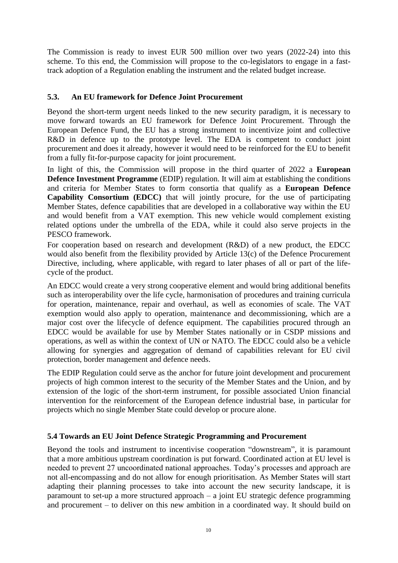The Commission is ready to invest EUR 500 million over two years (2022-24) into this scheme. To this end, the Commission will propose to the co-legislators to engage in a fasttrack adoption of a Regulation enabling the instrument and the related budget increase.

# **5.3. An EU framework for Defence Joint Procurement**

Beyond the short-term urgent needs linked to the new security paradigm, it is necessary to move forward towards an EU framework for Defence Joint Procurement. Through the European Defence Fund, the EU has a strong instrument to incentivize joint and collective R&D in defence up to the prototype level. The EDA is competent to conduct joint procurement and does it already, however it would need to be reinforced for the EU to benefit from a fully fit-for-purpose capacity for joint procurement.

In light of this, the Commission will propose in the third quarter of 2022 a **European Defence Investment Programme** (EDIP) regulation. It will aim at establishing the conditions and criteria for Member States to form consortia that qualify as a **European Defence Capability Consortium (EDCC)** that will jointly procure, for the use of participating Member States, defence capabilities that are developed in a collaborative way within the EU and would benefit from a VAT exemption. This new vehicle would complement existing related options under the umbrella of the EDA, while it could also serve projects in the PESCO framework.

For cooperation based on research and development (R&D) of a new product, the EDCC would also benefit from the flexibility provided by Article 13(c) of the Defence Procurement Directive, including, where applicable, with regard to later phases of all or part of the lifecycle of the product.

An EDCC would create a very strong cooperative element and would bring additional benefits such as interoperability over the life cycle, harmonisation of procedures and training curricula for operation, maintenance, repair and overhaul, as well as economies of scale. The VAT exemption would also apply to operation, maintenance and decommissioning, which are a major cost over the lifecycle of defence equipment. The capabilities procured through an EDCC would be available for use by Member States nationally or in CSDP missions and operations, as well as within the context of UN or NATO. The EDCC could also be a vehicle allowing for synergies and aggregation of demand of capabilities relevant for EU civil protection, border management and defence needs.

The EDIP Regulation could serve as the anchor for future joint development and procurement projects of high common interest to the security of the Member States and the Union, and by extension of the logic of the short-term instrument, for possible associated Union financial intervention for the reinforcement of the European defence industrial base, in particular for projects which no single Member State could develop or procure alone.

# **5.4 Towards an EU Joint Defence Strategic Programming and Procurement**

Beyond the tools and instrument to incentivise cooperation "downstream", it is paramount that a more ambitious upstream coordination is put forward. Coordinated action at EU level is needed to prevent 27 uncoordinated national approaches. Today's processes and approach are not all-encompassing and do not allow for enough prioritisation. As Member States will start adapting their planning processes to take into account the new security landscape, it is paramount to set-up a more structured approach – a joint EU strategic defence programming and procurement – to deliver on this new ambition in a coordinated way. It should build on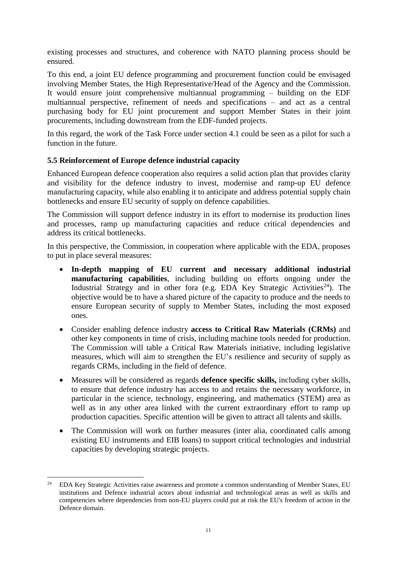existing processes and structures, and coherence with NATO planning process should be ensured.

To this end, a joint EU defence programming and procurement function could be envisaged involving Member States, the High Representative/Head of the Agency and the Commission. It would ensure joint comprehensive multiannual programming – building on the EDF multiannual perspective, refinement of needs and specifications – and act as a central purchasing body for EU joint procurement and support Member States in their joint procurements, including downstream from the EDF-funded projects.

In this regard, the work of the Task Force under section 4.1 could be seen as a pilot for such a function in the future.

### **5.5 Reinforcement of Europe defence industrial capacity**

Enhanced European defence cooperation also requires a solid action plan that provides clarity and visibility for the defence industry to invest, modernise and ramp-up EU defence manufacturing capacity, while also enabling it to anticipate and address potential supply chain bottlenecks and ensure EU security of supply on defence capabilities.

The Commission will support defence industry in its effort to modernise its production lines and processes, ramp up manufacturing capacities and reduce critical dependencies and address its critical bottlenecks.

In this perspective, the Commission, in cooperation where applicable with the EDA, proposes to put in place several measures:

- **In-depth mapping of EU current and necessary additional industrial manufacturing capabilities**, including building on efforts ongoing under the Industrial Strategy and in other fora (e.g. EDA Key Strategic Activities<sup>24</sup>). The objective would be to have a shared picture of the capacity to produce and the needs to ensure European security of supply to Member States, including the most exposed ones.
- Consider enabling defence industry **access to Critical Raw Materials (CRMs)** and other key components in time of crisis, including machine tools needed for production. The Commission will table a Critical Raw Materials initiative, including legislative measures, which will aim to strengthen the EU's resilience and security of supply as regards CRMs, including in the field of defence.
- Measures will be considered as regards **defence specific skills,** including cyber skills, to ensure that defence industry has access to and retains the necessary workforce, in particular in the science, technology, engineering, and mathematics (STEM) area as well as in any other area linked with the current extraordinary effort to ramp up production capacities. Specific attention will be given to attract all talents and skills.
- The Commission will work on further measures (inter alia, coordinated calls among existing EU instruments and EIB loans) to support critical technologies and industrial capacities by developing strategic projects.

<sup>&</sup>lt;u>.</u> <sup>24</sup> EDA Key Strategic Activities raise awareness and promote a common understanding of Member States, EU institutions and Defence industrial actors about industrial and technological areas as well as skills and competencies where dependencies from non-EU players could put at risk the EU's freedom of action in the Defence domain.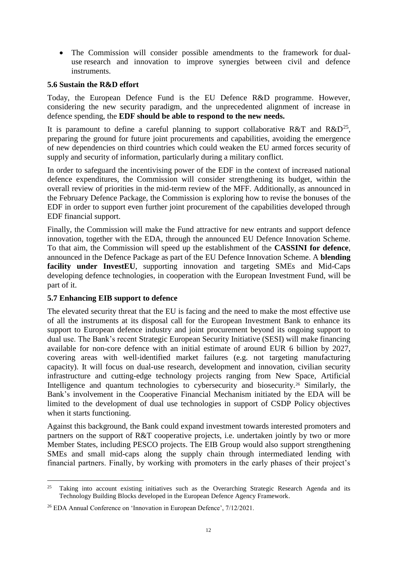The Commission will consider possible amendments to the framework for dualuse research and innovation to improve synergies between civil and defence instruments.

### **5.6 Sustain the R&D effort**

Today, the European Defence Fund is the EU Defence R&D programme. However, considering the new security paradigm, and the unprecedented alignment of increase in defence spending, the **EDF should be able to respond to the new needs.** 

It is paramount to define a careful planning to support collaborative R&T and R&D<sup>25</sup>, preparing the ground for future joint procurements and capabilities, avoiding the emergence of new dependencies on third countries which could weaken the EU armed forces security of supply and security of information, particularly during a military conflict.

In order to safeguard the incentivising power of the EDF in the context of increased national defence expenditures, the Commission will consider strengthening its budget, within the overall review of priorities in the mid-term review of the MFF. Additionally, as announced in the February Defence Package, the Commission is exploring how to revise the bonuses of the EDF in order to support even further joint procurement of the capabilities developed through EDF financial support.

Finally, the Commission will make the Fund attractive for new entrants and support defence innovation, together with the EDA, through the announced EU Defence Innovation Scheme. To that aim, the Commission will speed up the establishment of the **CASSINI for defence**, announced in the Defence Package as part of the EU Defence Innovation Scheme. A **blending**  facility under InvestEU, supporting innovation and targeting SMEs and Mid-Caps developing defence technologies, in cooperation with the European Investment Fund, will be part of it.

# **5.7 Enhancing EIB support to defence**

The elevated security threat that the EU is facing and the need to make the most effective use of all the instruments at its disposal call for the European Investment Bank to enhance its support to European defence industry and joint procurement beyond its ongoing support to dual use. The Bank's recent Strategic European Security Initiative (SESI) will make financing available for non-core defence with an initial estimate of around EUR 6 billion by 2027, covering areas with well-identified market failures (e.g. not targeting manufacturing capacity). It will focus on dual-use research, development and innovation, civilian security infrastructure and cutting-edge technology projects ranging from New Space, Artificial Intelligence and quantum technologies to cybersecurity and biosecurity.<sup>26</sup> Similarly, the Bank's involvement in the Cooperative Financial Mechanism initiated by the EDA will be limited to the development of dual use technologies in support of CSDP Policy objectives when it starts functioning.

Against this background, the Bank could expand investment towards interested promoters and partners on the support of R&T cooperative projects, i.e. undertaken jointly by two or more Member States, including PESCO projects. The EIB Group would also support strengthening SMEs and small mid-caps along the supply chain through intermediated lending with financial partners. Finally, by working with promoters in the early phases of their project's

 $25\,$ Taking into account existing initiatives such as the Overarching Strategic Research Agenda and its Technology Building Blocks developed in the European Defence Agency Framework.

<sup>26</sup> EDA Annual Conference on 'Innovation in European Defence', 7/12/2021.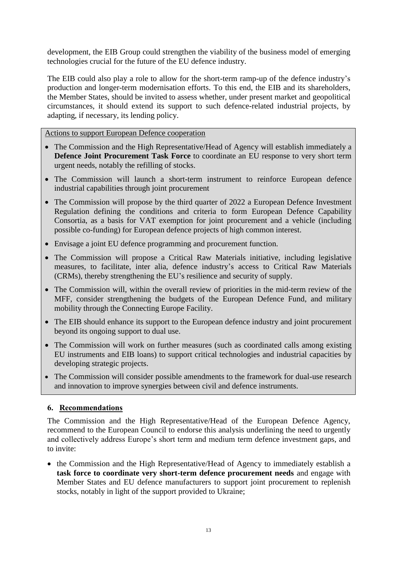development, the EIB Group could strengthen the viability of the business model of emerging technologies crucial for the future of the EU defence industry.

The EIB could also play a role to allow for the short-term ramp-up of the defence industry's production and longer-term modernisation efforts. To this end, the EIB and its shareholders, the Member States, should be invited to assess whether, under present market and geopolitical circumstances, it should extend its support to such defence-related industrial projects, by adapting, if necessary, its lending policy.

Actions to support European Defence cooperation

- The Commission and the High Representative/Head of Agency will establish immediately a **Defence Joint Procurement Task Force** to coordinate an EU response to very short term urgent needs, notably the refilling of stocks.
- The Commission will launch a short-term instrument to reinforce European defence industrial capabilities through joint procurement
- The Commission will propose by the third quarter of 2022 a European Defence Investment Regulation defining the conditions and criteria to form European Defence Capability Consortia, as a basis for VAT exemption for joint procurement and a vehicle (including possible co-funding) for European defence projects of high common interest.
- Envisage a joint EU defence programming and procurement function.
- The Commission will propose a Critical Raw Materials initiative, including legislative measures, to facilitate, inter alia, defence industry's access to Critical Raw Materials (CRMs), thereby strengthening the EU's resilience and security of supply.
- The Commission will, within the overall review of priorities in the mid-term review of the MFF, consider strengthening the budgets of the European Defence Fund, and military mobility through the Connecting Europe Facility.
- The EIB should enhance its support to the European defence industry and joint procurement beyond its ongoing support to dual use.
- The Commission will work on further measures (such as coordinated calls among existing EU instruments and EIB loans) to support critical technologies and industrial capacities by developing strategic projects.
- The Commission will consider possible amendments to the framework for dual-use research and innovation to improve synergies between civil and defence instruments.

# **6. Recommendations**

The Commission and the High Representative/Head of the European Defence Agency, recommend to the European Council to endorse this analysis underlining the need to urgently and collectively address Europe's short term and medium term defence investment gaps, and to invite:

• the Commission and the High Representative/Head of Agency to immediately establish a **task force to coordinate very short-term defence procurement needs** and engage with Member States and EU defence manufacturers to support joint procurement to replenish stocks, notably in light of the support provided to Ukraine;